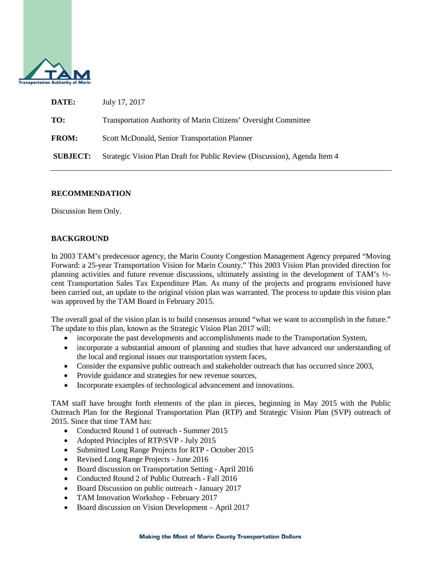

| DATE:           | July 17, 2017                                                             |
|-----------------|---------------------------------------------------------------------------|
| TO:             | Transportation Authority of Marin Citizens' Oversight Committee           |
| <b>FROM:</b>    | Scott McDonald, Senior Transportation Planner                             |
| <b>SUBJECT:</b> | Strategic Vision Plan Draft for Public Review (Discussion), Agenda Item 4 |

## **RECOMMENDATION**

Discussion Item Only.

# **BACKGROUND**

In 2003 TAM's predecessor agency, the Marin County Congestion Management Agency prepared "Moving Forward: a 25-year Transportation Vision for Marin County." This 2003 Vision Plan provided direction for planning activities and future revenue discussions, ultimately assisting in the development of TAM's ½ cent Transportation Sales Tax Expenditure Plan. As many of the projects and programs envisioned have been carried out, an update to the original vision plan was warranted. The process to update this vision plan was approved by the TAM Board in February 2015.

The overall goal of the vision plan is to build consensus around "what we want to accomplish in the future." The update to this plan, known as the Strategic Vision Plan 2017 will:

- incorporate the past developments and accomplishments made to the Transportation System,
- incorporate a substantial amount of planning and studies that have advanced our understanding of the local and regional issues our transportation system faces,
- Consider the expansive public outreach and stakeholder outreach that has occurred since 2003,
- Provide guidance and strategies for new revenue sources,
- Incorporate examples of technological advancement and innovations.

TAM staff have brought forth elements of the plan in pieces, beginning in May 2015 with the Public Outreach Plan for the Regional Transportation Plan (RTP) and Strategic Vision Plan (SVP) outreach of 2015. Since that time TAM has:

- Conducted Round 1 of outreach Summer 2015
- Adopted Principles of RTP/SVP July 2015
- Submitted Long Range Projects for RTP October 2015
- Revised Long Range Projects June 2016
- Board discussion on Transportation Setting April 2016
- Conducted Round 2 of Public Outreach Fall 2016
- Board Discussion on public outreach January 2017
- TAM Innovation Workshop February 2017
- Board discussion on Vision Development April 2017